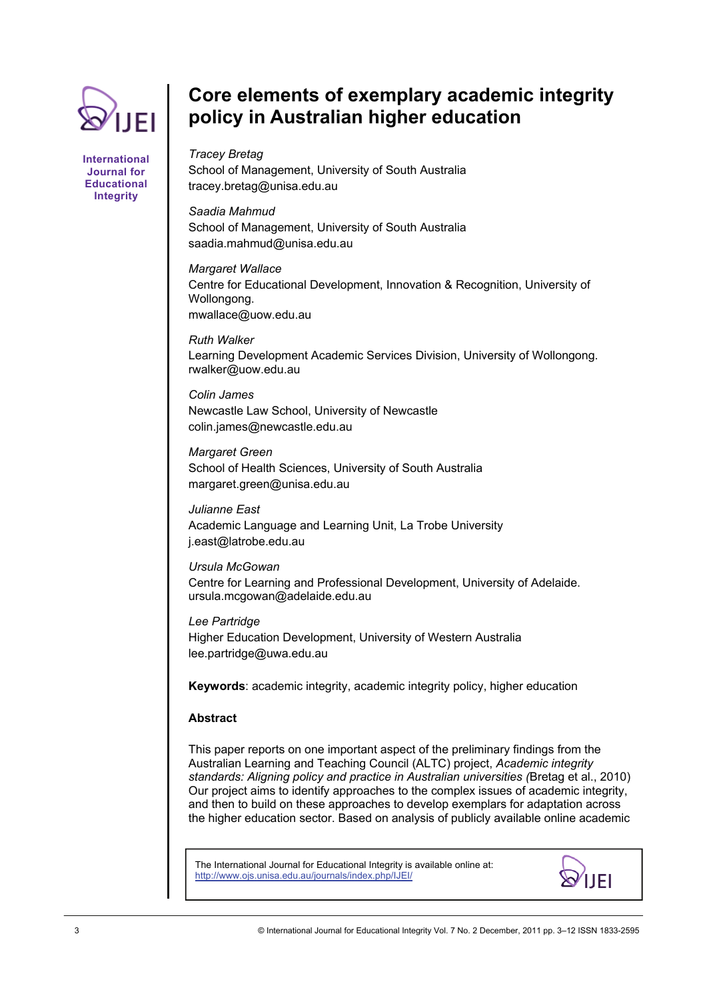

**International Journal for Educational Integrity** 

# **Core elements of exemplary academic integrity policy in Australian higher education**

*Tracey Bretag*  School of Management, University of South Australia tracey.bretag@unisa.edu.au

*Saadia Mahmud*  School of Management, University of South Australia saadia.mahmud@unisa.edu.au

*Margaret Wallace*  Centre for Educational Development, Innovation & Recognition, University of Wollongong. mwallace@uow.edu.au

*Ruth Walker*  Learning Development Academic Services Division, University of Wollongong. rwalker@uow.edu.au

*Colin James*  Newcastle Law School, University of Newcastle colin.james@newcastle.edu.au

*Margaret Green*  School of Health Sciences, University of South Australia margaret.green@unisa.edu.au

*Julianne East*  Academic Language and Learning Unit, La Trobe University j.east@latrobe.edu.au

*Ursula McGowan*  Centre for Learning and Professional Development, University of Adelaide. ursula.mcgowan@adelaide.edu.au

*Lee Partridge*  Higher Education Development, University of Western Australia lee.partridge@uwa.edu.au

**Keywords**: academic integrity, academic integrity policy, higher education

# **Abstract**

This paper reports on one important aspect of the preliminary findings from the Australian Learning and Teaching Council (ALTC) project, *Academic integrity standards: Aligning policy and practice in Australian universities (*Bretag et al., 2010) Our project aims to identify approaches to the complex issues of academic integrity, and then to build on these approaches to develop exemplars for adaptation across the higher education sector. Based on analysis of publicly available online academic

The International Journal for Educational Integrity is available online at: http://www.ojs.unisa.edu.au/journals/index.php/IJEI/

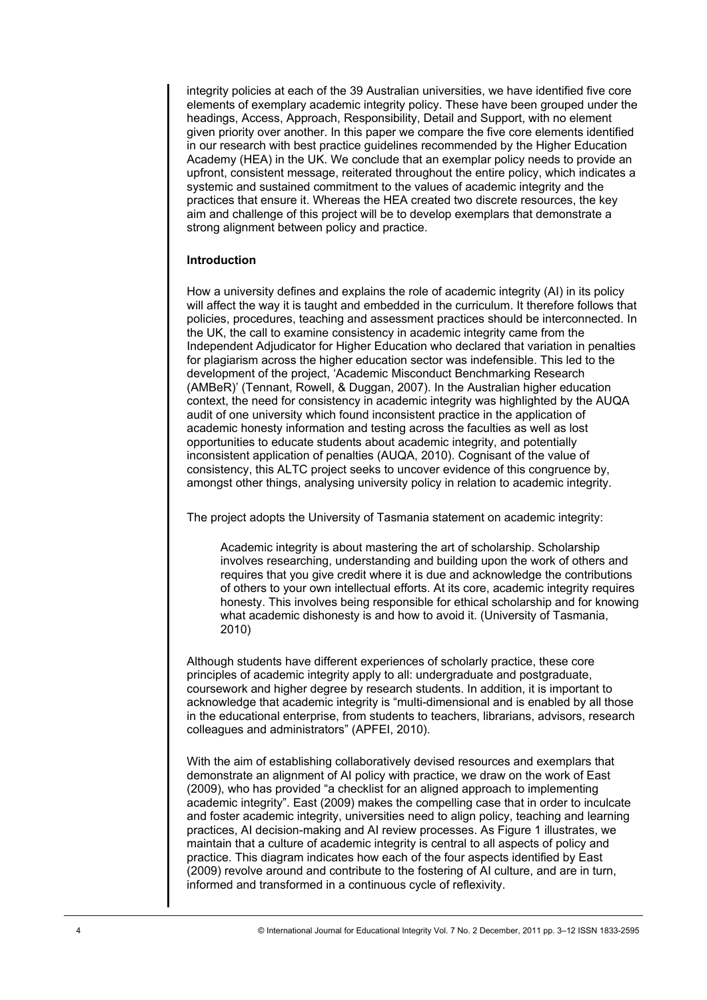integrity policies at each of the 39 Australian universities, we have identified five core elements of exemplary academic integrity policy. These have been grouped under the headings, Access, Approach, Responsibility, Detail and Support, with no element given priority over another. In this paper we compare the five core elements identified in our research with best practice guidelines recommended by the Higher Education Academy (HEA) in the UK. We conclude that an exemplar policy needs to provide an upfront, consistent message, reiterated throughout the entire policy, which indicates a systemic and sustained commitment to the values of academic integrity and the practices that ensure it. Whereas the HEA created two discrete resources, the key aim and challenge of this project will be to develop exemplars that demonstrate a strong alignment between policy and practice.

## **Introduction**

How a university defines and explains the role of academic integrity (AI) in its policy will affect the way it is taught and embedded in the curriculum. It therefore follows that policies, procedures, teaching and assessment practices should be interconnected. In the UK, the call to examine consistency in academic integrity came from the Independent Adjudicator for Higher Education who declared that variation in penalties for plagiarism across the higher education sector was indefensible. This led to the development of the project, 'Academic Misconduct Benchmarking Research (AMBeR)' (Tennant, Rowell, & Duggan, 2007). In the Australian higher education context, the need for consistency in academic integrity was highlighted by the AUQA audit of one university which found inconsistent practice in the application of academic honesty information and testing across the faculties as well as lost opportunities to educate students about academic integrity, and potentially inconsistent application of penalties (AUQA, 2010). Cognisant of the value of consistency, this ALTC project seeks to uncover evidence of this congruence by, amongst other things, analysing university policy in relation to academic integrity.

The project adopts the University of Tasmania statement on academic integrity:

Academic integrity is about mastering the art of scholarship. Scholarship involves researching, understanding and building upon the work of others and requires that you give credit where it is due and acknowledge the contributions of others to your own intellectual efforts. At its core, academic integrity requires honesty. This involves being responsible for ethical scholarship and for knowing what academic dishonesty is and how to avoid it. (University of Tasmania, 2010)

Although students have different experiences of scholarly practice, these core principles of academic integrity apply to all: undergraduate and postgraduate, coursework and higher degree by research students. In addition, it is important to acknowledge that academic integrity is "multi-dimensional and is enabled by all those in the educational enterprise, from students to teachers, librarians, advisors, research colleagues and administrators" (APFEI, 2010).

With the aim of establishing collaboratively devised resources and exemplars that demonstrate an alignment of AI policy with practice, we draw on the work of East (2009), who has provided "a checklist for an aligned approach to implementing academic integrity". East (2009) makes the compelling case that in order to inculcate and foster academic integrity, universities need to align policy, teaching and learning practices, AI decision-making and AI review processes. As Figure 1 illustrates, we maintain that a culture of academic integrity is central to all aspects of policy and practice. This diagram indicates how each of the four aspects identified by East (2009) revolve around and contribute to the fostering of AI culture, and are in turn, informed and transformed in a continuous cycle of reflexivity.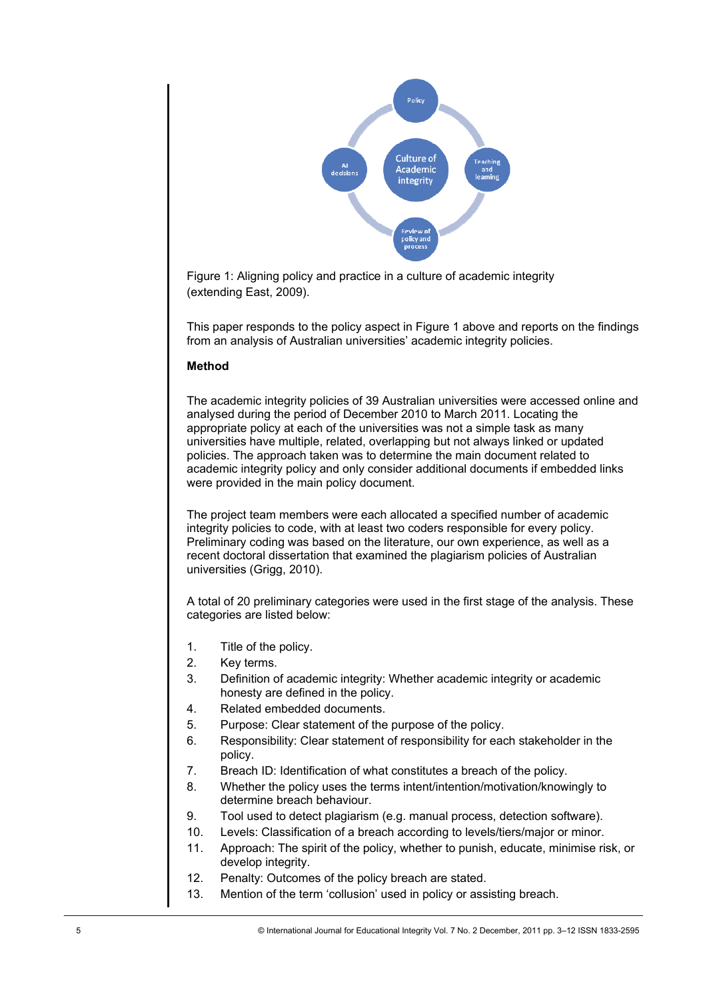

Figure 1: Aligning policy and practice in a culture of academic integrity (extending East, 2009).

This paper responds to the policy aspect in Figure 1 above and reports on the findings from an analysis of Australian universities' academic integrity policies.

# **Method**

The academic integrity policies of 39 Australian universities were accessed online and analysed during the period of December 2010 to March 2011. Locating the appropriate policy at each of the universities was not a simple task as many universities have multiple, related, overlapping but not always linked or updated policies. The approach taken was to determine the main document related to academic integrity policy and only consider additional documents if embedded links were provided in the main policy document.

The project team members were each allocated a specified number of academic integrity policies to code, with at least two coders responsible for every policy. Preliminary coding was based on the literature, our own experience, as well as a recent doctoral dissertation that examined the plagiarism policies of Australian universities (Grigg, 2010).

A total of 20 preliminary categories were used in the first stage of the analysis. These categories are listed below:

- 1. Title of the policy.
- 2. Key terms.
- 3. Definition of academic integrity: Whether academic integrity or academic honesty are defined in the policy.
- 4. Related embedded documents.
- 5. Purpose: Clear statement of the purpose of the policy.
- 6. Responsibility: Clear statement of responsibility for each stakeholder in the policy.
- 7. Breach ID: Identification of what constitutes a breach of the policy.
- 8. Whether the policy uses the terms intent/intention/motivation/knowingly to determine breach behaviour.
- 9. Tool used to detect plagiarism (e.g. manual process, detection software).
- 10. Levels: Classification of a breach according to levels/tiers/major or minor.
- 11. Approach: The spirit of the policy, whether to punish, educate, minimise risk, or develop integrity.
- 12. Penalty: Outcomes of the policy breach are stated.
- 13. Mention of the term 'collusion' used in policy or assisting breach.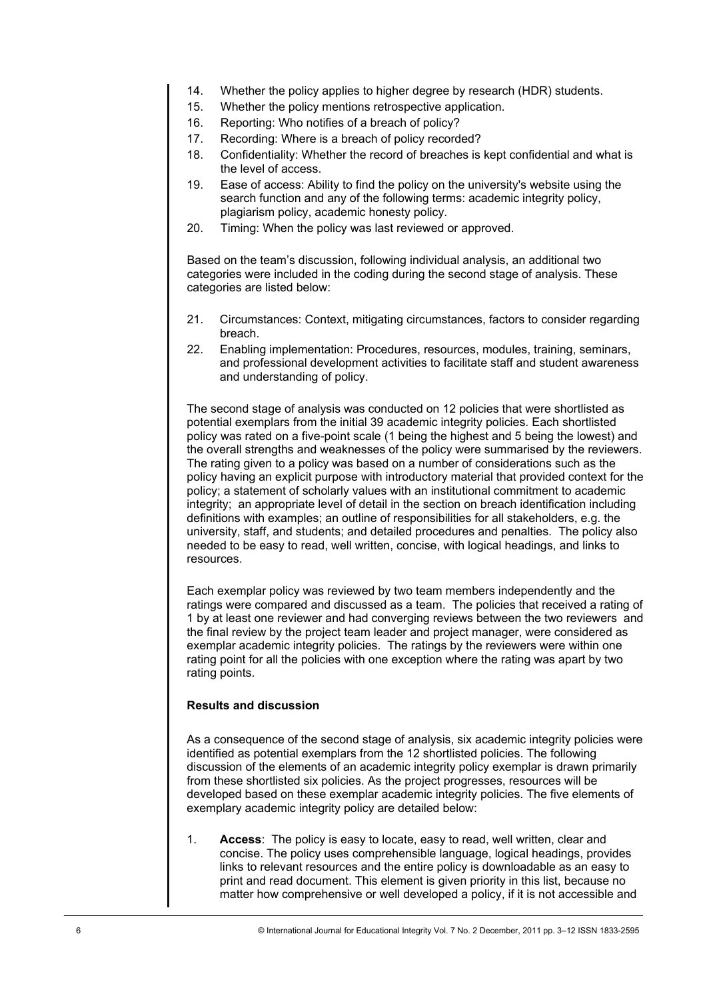- 14. Whether the policy applies to higher degree by research (HDR) students.
- 15. Whether the policy mentions retrospective application.
- 16. Reporting: Who notifies of a breach of policy?
- 17. Recording: Where is a breach of policy recorded?
- 18. Confidentiality: Whether the record of breaches is kept confidential and what is the level of access.
- 19. Ease of access: Ability to find the policy on the university's website using the search function and any of the following terms: academic integrity policy, plagiarism policy, academic honesty policy.
- 20. Timing: When the policy was last reviewed or approved.

Based on the team's discussion, following individual analysis, an additional two categories were included in the coding during the second stage of analysis. These categories are listed below:

- 21. Circumstances: Context, mitigating circumstances, factors to consider regarding breach.
- 22. Enabling implementation: Procedures, resources, modules, training, seminars, and professional development activities to facilitate staff and student awareness and understanding of policy.

The second stage of analysis was conducted on 12 policies that were shortlisted as potential exemplars from the initial 39 academic integrity policies. Each shortlisted policy was rated on a five-point scale (1 being the highest and 5 being the lowest) and the overall strengths and weaknesses of the policy were summarised by the reviewers. The rating given to a policy was based on a number of considerations such as the policy having an explicit purpose with introductory material that provided context for the policy; a statement of scholarly values with an institutional commitment to academic integrity; an appropriate level of detail in the section on breach identification including definitions with examples; an outline of responsibilities for all stakeholders, e.g. the university, staff, and students; and detailed procedures and penalties. The policy also needed to be easy to read, well written, concise, with logical headings, and links to resources.

Each exemplar policy was reviewed by two team members independently and the ratings were compared and discussed as a team. The policies that received a rating of 1 by at least one reviewer and had converging reviews between the two reviewers and the final review by the project team leader and project manager, were considered as exemplar academic integrity policies. The ratings by the reviewers were within one rating point for all the policies with one exception where the rating was apart by two rating points.

## **Results and discussion**

As a consequence of the second stage of analysis, six academic integrity policies were identified as potential exemplars from the 12 shortlisted policies. The following discussion of the elements of an academic integrity policy exemplar is drawn primarily from these shortlisted six policies. As the project progresses, resources will be developed based on these exemplar academic integrity policies. The five elements of exemplary academic integrity policy are detailed below:

1. **Access**: The policy is easy to locate, easy to read, well written, clear and concise. The policy uses comprehensible language, logical headings, provides links to relevant resources and the entire policy is downloadable as an easy to print and read document. This element is given priority in this list, because no matter how comprehensive or well developed a policy, if it is not accessible and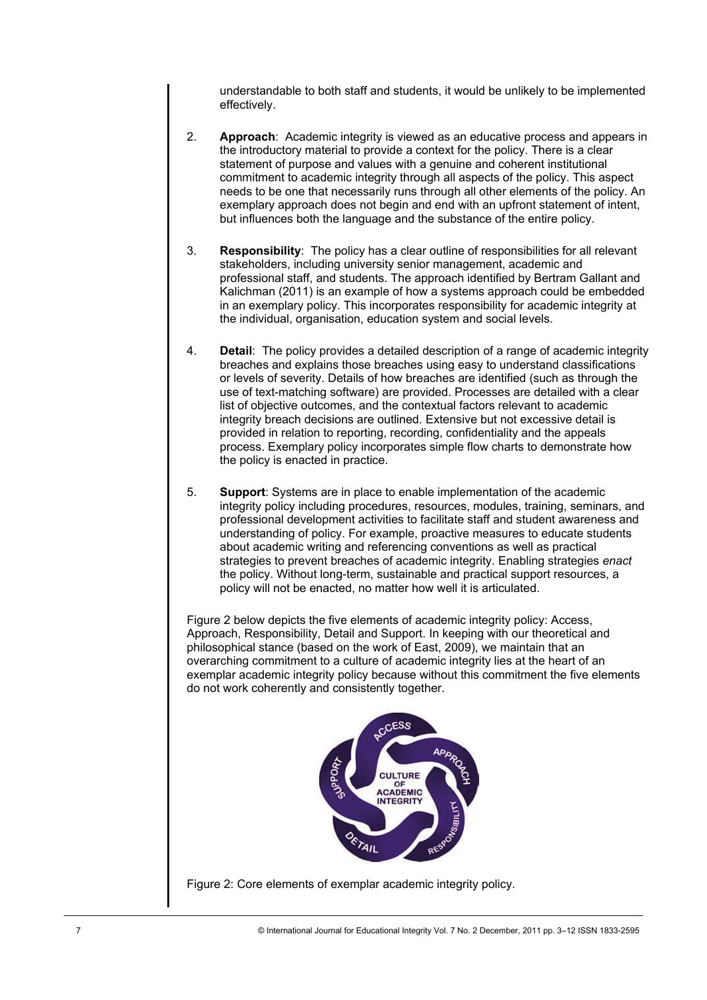understandable to both staff and students, it would be unlikely to be implemented effectively.

- 2. **Approach**: Academic integrity is viewed as an educative process and appears in the introductory material to provide a context for the policy. There is a clear statement of purpose and values with a genuine and coherent institutional commitment to academic integrity through all aspects of the policy. This aspect needs to be one that necessarily runs through all other elements of the policy. An exemplary approach does not begin and end with an upfront statement of intent, but influences both the language and the substance of the entire policy.
- 3. **Responsibility**: The policy has a clear outline of responsibilities for all relevant stakeholders, including university senior management, academic and professional staff, and students. The approach identified by Bertram Gallant and Kalichman (2011) is an example of how a systems approach could be embedded in an exemplary policy. This incorporates responsibility for academic integrity at the individual, organisation, education system and social levels.
- 4. **Detail**: The policy provides a detailed description of a range of academic integrity breaches and explains those breaches using easy to understand classifications or levels of severity. Details of how breaches are identified (such as through the use of text-matching software) are provided. Processes are detailed with a clear list of objective outcomes, and the contextual factors relevant to academic integrity breach decisions are outlined. Extensive but not excessive detail is provided in relation to reporting, recording, confidentiality and the appeals process. Exemplary policy incorporates simple flow charts to demonstrate how the policy is enacted in practice.
- 5. **Support**: Systems are in place to enable implementation of the academic integrity policy including procedures, resources, modules, training, seminars, and professional development activities to facilitate staff and student awareness and understanding of policy. For example, proactive measures to educate students about academic writing and referencing conventions as well as practical strategies to prevent breaches of academic integrity. Enabling strategies *enact* the policy. Without long-term, sustainable and practical support resources, a policy will not be enacted, no matter how well it is articulated.

Figure 2 below depicts the five elements of academic integrity policy: Access, Approach, Responsibility, Detail and Support. In keeping with our theoretical and philosophical stance (based on the work of East, 2009), we maintain that an overarching commitment to a culture of academic integrity lies at the heart of an exemplar academic integrity policy because without this commitment the five elements do not work coherently and consistently together.



Figure 2: Core elements of exemplar academic integrity policy.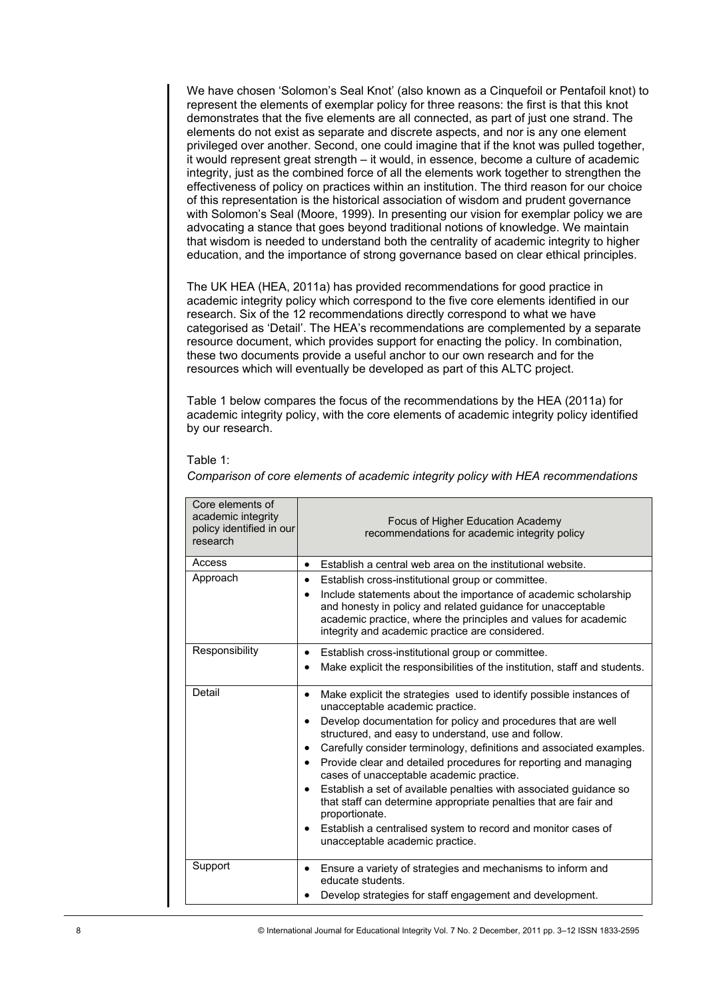We have chosen 'Solomon's Seal Knot' (also known as a Cinquefoil or Pentafoil knot) to represent the elements of exemplar policy for three reasons: the first is that this knot demonstrates that the five elements are all connected, as part of just one strand. The elements do not exist as separate and discrete aspects, and nor is any one element privileged over another. Second, one could imagine that if the knot was pulled together, it would represent great strength – it would, in essence, become a culture of academic integrity, just as the combined force of all the elements work together to strengthen the effectiveness of policy on practices within an institution. The third reason for our choice of this representation is the historical association of wisdom and prudent governance with Solomon's Seal (Moore, 1999). In presenting our vision for exemplar policy we are advocating a stance that goes beyond traditional notions of knowledge. We maintain that wisdom is needed to understand both the centrality of academic integrity to higher education, and the importance of strong governance based on clear ethical principles.

The UK HEA (HEA, 2011a) has provided recommendations for good practice in academic integrity policy which correspond to the five core elements identified in our research. Six of the 12 recommendations directly correspond to what we have categorised as 'Detail'. The HEA's recommendations are complemented by a separate resource document, which provides support for enacting the policy. In combination, these two documents provide a useful anchor to our own research and for the resources which will eventually be developed as part of this ALTC project.

Table 1 below compares the focus of the recommendations by the HEA (2011a) for academic integrity policy, with the core elements of academic integrity policy identified by our research.

#### Table 1:

*Comparison of core elements of academic integrity policy with HEA recommendations* 

| Core elements of<br>academic integrity<br>policy identified in our<br>research                        | Focus of Higher Education Academy<br>recommendations for academic integrity policy                                                                                                                                                                                                                                                                                                                                                                                                                                                                                                                                                                                                                                                         |
|-------------------------------------------------------------------------------------------------------|--------------------------------------------------------------------------------------------------------------------------------------------------------------------------------------------------------------------------------------------------------------------------------------------------------------------------------------------------------------------------------------------------------------------------------------------------------------------------------------------------------------------------------------------------------------------------------------------------------------------------------------------------------------------------------------------------------------------------------------------|
| Access                                                                                                | Establish a central web area on the institutional website.<br>٠                                                                                                                                                                                                                                                                                                                                                                                                                                                                                                                                                                                                                                                                            |
| Approach                                                                                              | Establish cross-institutional group or committee.<br>٠<br>Include statements about the importance of academic scholarship<br>٠<br>and honesty in policy and related guidance for unacceptable<br>academic practice, where the principles and values for academic<br>integrity and academic practice are considered.                                                                                                                                                                                                                                                                                                                                                                                                                        |
| Responsibility                                                                                        | Establish cross-institutional group or committee.<br>$\bullet$<br>Make explicit the responsibilities of the institution, staff and students.                                                                                                                                                                                                                                                                                                                                                                                                                                                                                                                                                                                               |
| Detail                                                                                                | Make explicit the strategies used to identify possible instances of<br>$\bullet$<br>unacceptable academic practice.<br>Develop documentation for policy and procedures that are well<br>$\bullet$<br>structured, and easy to understand, use and follow.<br>Carefully consider terminology, definitions and associated examples.<br>Provide clear and detailed procedures for reporting and managing<br>$\bullet$<br>cases of unacceptable academic practice.<br>Establish a set of available penalties with associated guidance so<br>that staff can determine appropriate penalties that are fair and<br>proportionate.<br>Establish a centralised system to record and monitor cases of<br>$\bullet$<br>unacceptable academic practice. |
| Support                                                                                               | Ensure a variety of strategies and mechanisms to inform and<br>educate students.<br>Develop strategies for staff engagement and development.                                                                                                                                                                                                                                                                                                                                                                                                                                                                                                                                                                                               |
| © International Journal for Educational Integrity Vol. 7 No. 2 December, 2011 pp. 3-12 ISSN 1833-2595 |                                                                                                                                                                                                                                                                                                                                                                                                                                                                                                                                                                                                                                                                                                                                            |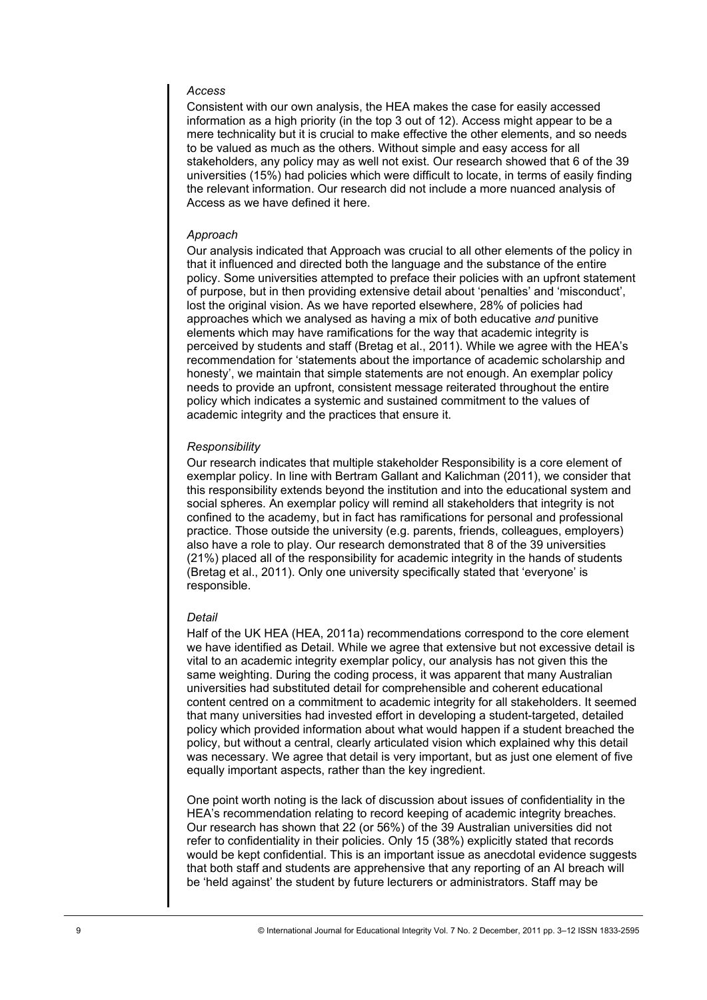## *Access*

Consistent with our own analysis, the HEA makes the case for easily accessed information as a high priority (in the top 3 out of 12). Access might appear to be a mere technicality but it is crucial to make effective the other elements, and so needs to be valued as much as the others. Without simple and easy access for all stakeholders, any policy may as well not exist. Our research showed that 6 of the 39 universities (15%) had policies which were difficult to locate, in terms of easily finding the relevant information. Our research did not include a more nuanced analysis of Access as we have defined it here.

### *Approach*

Our analysis indicated that Approach was crucial to all other elements of the policy in that it influenced and directed both the language and the substance of the entire policy. Some universities attempted to preface their policies with an upfront statement of purpose, but in then providing extensive detail about 'penalties' and 'misconduct', lost the original vision. As we have reported elsewhere, 28% of policies had approaches which we analysed as having a mix of both educative *and* punitive elements which may have ramifications for the way that academic integrity is perceived by students and staff (Bretag et al., 2011). While we agree with the HEA's recommendation for 'statements about the importance of academic scholarship and honesty', we maintain that simple statements are not enough. An exemplar policy needs to provide an upfront, consistent message reiterated throughout the entire policy which indicates a systemic and sustained commitment to the values of academic integrity and the practices that ensure it.

#### *Responsibility*

Our research indicates that multiple stakeholder Responsibility is a core element of exemplar policy. In line with Bertram Gallant and Kalichman (2011), we consider that this responsibility extends beyond the institution and into the educational system and social spheres. An exemplar policy will remind all stakeholders that integrity is not confined to the academy, but in fact has ramifications for personal and professional practice. Those outside the university (e.g. parents, friends, colleagues, employers) also have a role to play. Our research demonstrated that 8 of the 39 universities (21%) placed all of the responsibility for academic integrity in the hands of students (Bretag et al., 2011). Only one university specifically stated that 'everyone' is responsible.

#### *Detail*

Half of the UK HEA (HEA, 2011a) recommendations correspond to the core element we have identified as Detail. While we agree that extensive but not excessive detail is vital to an academic integrity exemplar policy, our analysis has not given this the same weighting. During the coding process, it was apparent that many Australian universities had substituted detail for comprehensible and coherent educational content centred on a commitment to academic integrity for all stakeholders. It seemed that many universities had invested effort in developing a student-targeted, detailed policy which provided information about what would happen if a student breached the policy, but without a central, clearly articulated vision which explained why this detail was necessary. We agree that detail is very important, but as just one element of five equally important aspects, rather than the key ingredient.

One point worth noting is the lack of discussion about issues of confidentiality in the HEA's recommendation relating to record keeping of academic integrity breaches. Our research has shown that 22 (or 56%) of the 39 Australian universities did not refer to confidentiality in their policies. Only 15 (38%) explicitly stated that records would be kept confidential. This is an important issue as anecdotal evidence suggests that both staff and students are apprehensive that any reporting of an AI breach will be 'held against' the student by future lecturers or administrators. Staff may be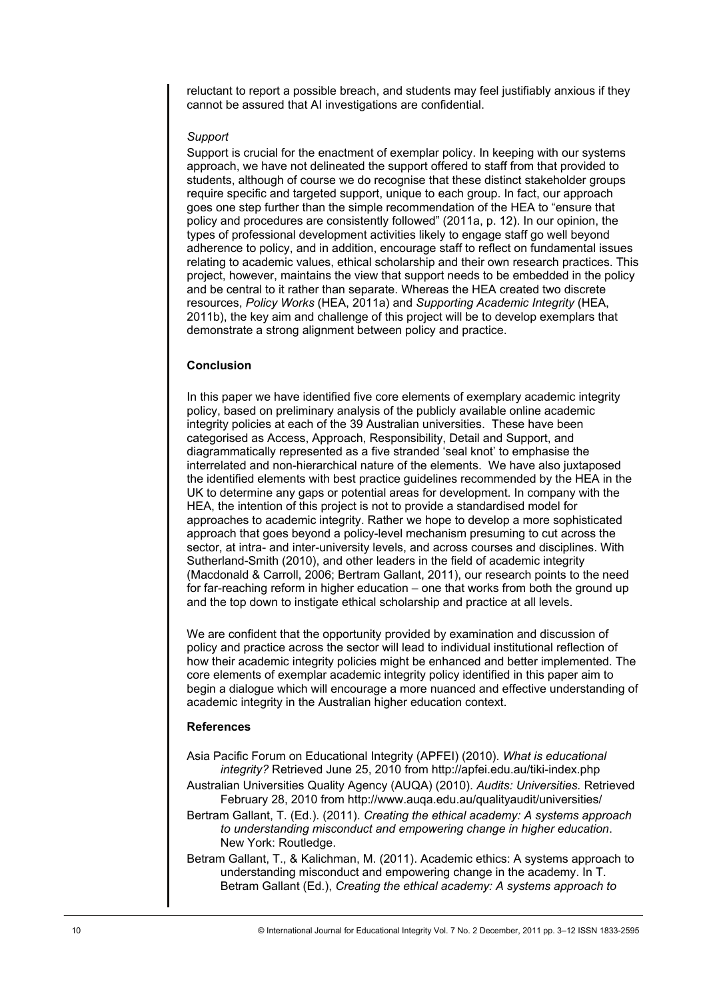reluctant to report a possible breach, and students may feel justifiably anxious if they cannot be assured that AI investigations are confidential.

## *Support*

Support is crucial for the enactment of exemplar policy. In keeping with our systems approach, we have not delineated the support offered to staff from that provided to students, although of course we do recognise that these distinct stakeholder groups require specific and targeted support, unique to each group. In fact, our approach goes one step further than the simple recommendation of the HEA to "ensure that policy and procedures are consistently followed" (2011a, p. 12). In our opinion, the types of professional development activities likely to engage staff go well beyond adherence to policy, and in addition, encourage staff to reflect on fundamental issues relating to academic values, ethical scholarship and their own research practices. This project, however, maintains the view that support needs to be embedded in the policy and be central to it rather than separate. Whereas the HEA created two discrete resources, *Policy Works* (HEA, 2011a) and *Supporting Academic Integrity* (HEA, 2011b), the key aim and challenge of this project will be to develop exemplars that demonstrate a strong alignment between policy and practice.

### **Conclusion**

In this paper we have identified five core elements of exemplary academic integrity policy, based on preliminary analysis of the publicly available online academic integrity policies at each of the 39 Australian universities. These have been categorised as Access, Approach, Responsibility, Detail and Support, and diagrammatically represented as a five stranded 'seal knot' to emphasise the interrelated and non-hierarchical nature of the elements. We have also juxtaposed the identified elements with best practice guidelines recommended by the HEA in the UK to determine any gaps or potential areas for development. In company with the HEA, the intention of this project is not to provide a standardised model for approaches to academic integrity. Rather we hope to develop a more sophisticated approach that goes beyond a policy-level mechanism presuming to cut across the sector, at intra- and inter-university levels, and across courses and disciplines. With Sutherland-Smith (2010), and other leaders in the field of academic integrity (Macdonald & Carroll, 2006; Bertram Gallant, 2011), our research points to the need for far-reaching reform in higher education – one that works from both the ground up and the top down to instigate ethical scholarship and practice at all levels.

We are confident that the opportunity provided by examination and discussion of policy and practice across the sector will lead to individual institutional reflection of how their academic integrity policies might be enhanced and better implemented. The core elements of exemplar academic integrity policy identified in this paper aim to begin a dialogue which will encourage a more nuanced and effective understanding of academic integrity in the Australian higher education context.

### **References**

Asia Pacific Forum on Educational Integrity (APFEI) (2010). *What is educational integrity?* Retrieved June 25, 2010 from http://apfei.edu.au/tiki-index.php

Australian Universities Quality Agency (AUQA) (2010). *Audits: Universities.* Retrieved February 28, 2010 from http://www.auqa.edu.au/qualityaudit/universities/

Bertram Gallant, T. (Ed.). (2011). *Creating the ethical academy: A systems approach to understanding misconduct and empowering change in higher education*. New York: Routledge.

Betram Gallant, T., & Kalichman, M. (2011). Academic ethics: A systems approach to understanding misconduct and empowering change in the academy. In T. Betram Gallant (Ed.), *Creating the ethical academy: A systems approach to*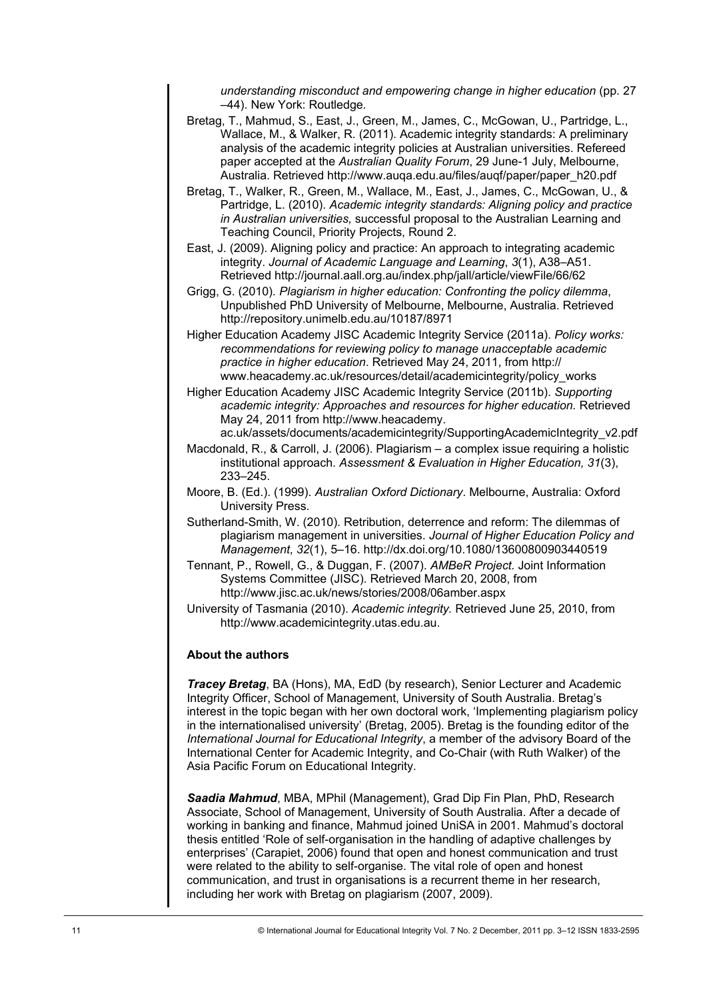*understanding misconduct and empowering change in higher education* (pp. 27 –44). New York: Routledge.

- Bretag, T., Mahmud, S., East, J., Green, M., James, C., McGowan, U., Partridge, L., Wallace, M., & Walker, R. (2011). Academic integrity standards: A preliminary analysis of the academic integrity policies at Australian universities. Refereed paper accepted at the *Australian Quality Forum*, 29 June-1 July, Melbourne, Australia. Retrieved http://www.auqa.edu.au/files/auqf/paper/paper\_h20.pdf
- Bretag, T., Walker, R., Green, M., Wallace, M., East, J., James, C., McGowan, U., & Partridge, L. (2010). *Academic integrity standards: Aligning policy and practice in Australian universities,* successful proposal to the Australian Learning and Teaching Council, Priority Projects, Round 2.
- East, J. (2009). Aligning policy and practice: An approach to integrating academic integrity. *Journal of Academic Language and Learning*, *3*(1), A38–A51. Retrieved http://journal.aall.org.au/index.php/jall/article/viewFile/66/62
- Grigg, G. (2010)*. Plagiarism in higher education: Confronting the policy dilemma*, Unpublished PhD University of Melbourne, Melbourne, Australia. Retrieved http://repository.unimelb.edu.au/10187/8971
- Higher Education Academy JISC Academic Integrity Service (2011a). *Policy works: recommendations for reviewing policy to manage unacceptable academic practice in higher education*. Retrieved May 24, 2011, from http:// www.heacademy.ac.uk/resources/detail/academicintegrity/policy\_works
- Higher Education Academy JISC Academic Integrity Service (2011b). *Supporting academic integrity: Approaches and resources for higher education.* Retrieved May 24, 2011 from http://www.heacademy.

ac.uk/assets/documents/academicintegrity/SupportingAcademicIntegrity\_v2.pdf

- Macdonald, R., & Carroll, J. (2006). Plagiarism a complex issue requiring a holistic institutional approach. *Assessment & Evaluation in Higher Education, 31*(3), 233–245.
- Moore, B. (Ed.). (1999). *Australian Oxford Dictionary*. Melbourne, Australia: Oxford University Press.
- Sutherland-Smith, W. (2010). Retribution, deterrence and reform: The dilemmas of plagiarism management in universities. *Journal of Higher Education Policy and Management*, *32*(1), 5–16. http://dx.doi.org/10.1080/13600800903440519
- Tennant, P., Rowell, G., & Duggan, F. (2007). *AMBeR Project.* Joint Information Systems Committee (JISC). Retrieved March 20, 2008, from http://www.jisc.ac.uk/news/stories/2008/06amber.aspx
- University of Tasmania (2010). *Academic integrity.* Retrieved June 25, 2010, from http://www.academicintegrity.utas.edu.au.

## **About the authors**

*Tracey Bretag*, BA (Hons), MA, EdD (by research), Senior Lecturer and Academic Integrity Officer, School of Management, University of South Australia. Bretag's interest in the topic began with her own doctoral work, 'Implementing plagiarism policy in the internationalised university' (Bretag, 2005). Bretag is the founding editor of the *International Journal for Educational Integrity*, a member of the advisory Board of the International Center for Academic Integrity, and Co-Chair (with Ruth Walker) of the Asia Pacific Forum on Educational Integrity.

*Saadia Mahmud*, MBA, MPhil (Management), Grad Dip Fin Plan, PhD, Research Associate, School of Management, University of South Australia. After a decade of working in banking and finance, Mahmud joined UniSA in 2001. Mahmud's doctoral thesis entitled 'Role of self-organisation in the handling of adaptive challenges by enterprises' (Carapiet, 2006) found that open and honest communication and trust were related to the ability to self-organise. The vital role of open and honest communication, and trust in organisations is a recurrent theme in her research, including her work with Bretag on plagiarism (2007, 2009).